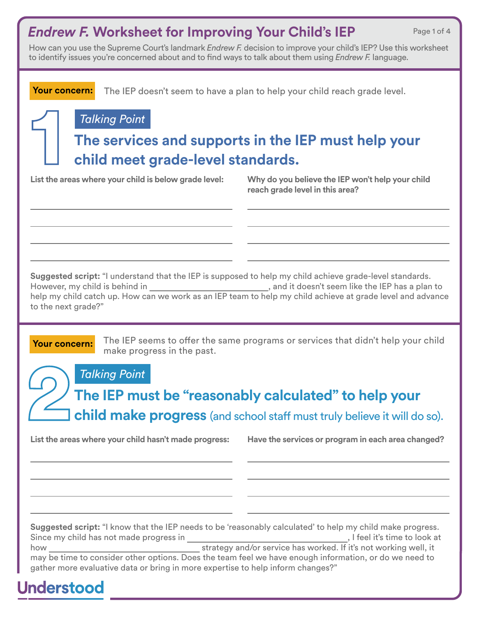#### *Endrew F.* **Worksheet for Improving Your Child's IEP**

Page 1 of 4

How can you use the Supreme Court's landmark *Endrew F.* decision to improve your child's IEP? Use this worksheet to identify issues you're concerned about and to fnd ways to talk about them using *Endrew F.* language.

The IEP doesn't seem to have a plan to help your child reach grade level. **Your concern:**

#### *Talking Point*

### **The services and supports in the IEP must help your child meet grade-level standards.**

**List the areas where your child is below grade level:**

**Why do you believe the IEP won't help your child reach grade level in this area?**

**Suggested script:** "I understand that the IEP is supposed to help my child achieve grade-level standards. However, my child is behind in , and it doesn't seem like the IEP has a plan to

help my child catch up. How can we work as an IEP team to help my child achieve at grade level and advance to the next grade?"

**Your concern:** The IEP seems to offer the same programs or services that didn't help your child make progress in the past.

*Talking Point*

**The IEP must be "reasonably calculated" to help your child make progress** (and school staff must truly believe it will do so).

**List the areas where your child hasn't made progress: Have the services or program in each area changed?**

**Suggested script:** "I know that the IEP needs to be 'reasonably calculated' to help my child make progress. Since my child has not made progress in , I feel it's time to look at how how strategy and/or service has worked. If it's not working well, it

may be time to consider other options. Does the team feel we have enough information, or do we need to gather more evaluative data or bring in more expertise to help inform changes?"

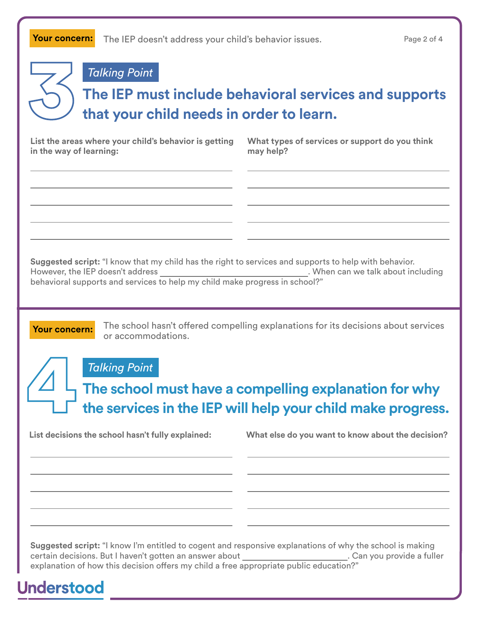*Talking Point*

## **The IEP must include behavioral services and supports that your child needs in order to learn.**

**List the areas where your child's behavior is getting in the way of learning:**

**What types of services or support do you think may help?**

**Suggested script:** "I know that my child has the right to services and supports to help with behavior. However, the IEP doesn't address **. When can we talk about including** behavioral supports and services to help my child make progress in school?"

**Your concern:** The school hasn't offered compelling explanations for its decisions about services or accommodations.

*Talking Point*

**The school must have a compelling explanation for why the services in the IEP will help your child make progress.**

**List decisions the school hasn't fully explained: What else do you want to know about the decision?**

**Suggested script:** "I know I'm entitled to cogent and responsive explanations of why the school is making certain decisions. But I haven't gotten an answer about **contained a functional container** Can you provide a fuller explanation of how this decision offers my child a free appropriate public education?"

# **Understood**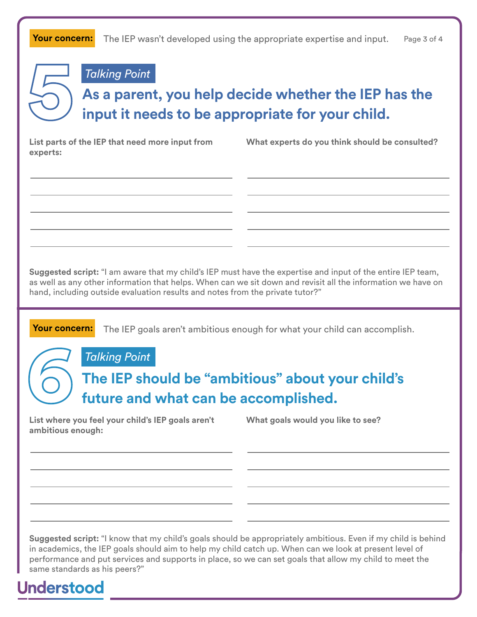The IEP wasn't developed using the appropriate expertise and input. **Your concern:** Page 3 of 4

*Talking Point*

## **As a parent, you help decide whether the IEP has the input it needs to be appropriate for your child.**

**List parts of the IEP that need more input from experts:**

**What experts do you think should be consulted?**

**Suggested script:** "I am aware that my child's IEP must have the expertise and input of the entire IEP team, as well as any other information that helps. When can we sit down and revisit all the information we have on hand, including outside evaluation results and notes from the private tutor?"

**Your concern:** The IEP goals aren't ambitious enough for what your child can accomplish.

*Talking Point*

#### **The IEP should be "ambitious" about your child's future and what can be accomplished.**

**List where you feel your child's IEP goals aren't ambitious enough:**

**What goals would you like to see?**

**Suggested script:** "I know that my child's goals should be appropriately ambitious. Even if my child is behind in academics, the IEP goals should aim to help my child catch up. When can we look at present level of performance and put services and supports in place, so we can set goals that allow my child to meet the same standards as his peers?"

**Understood**